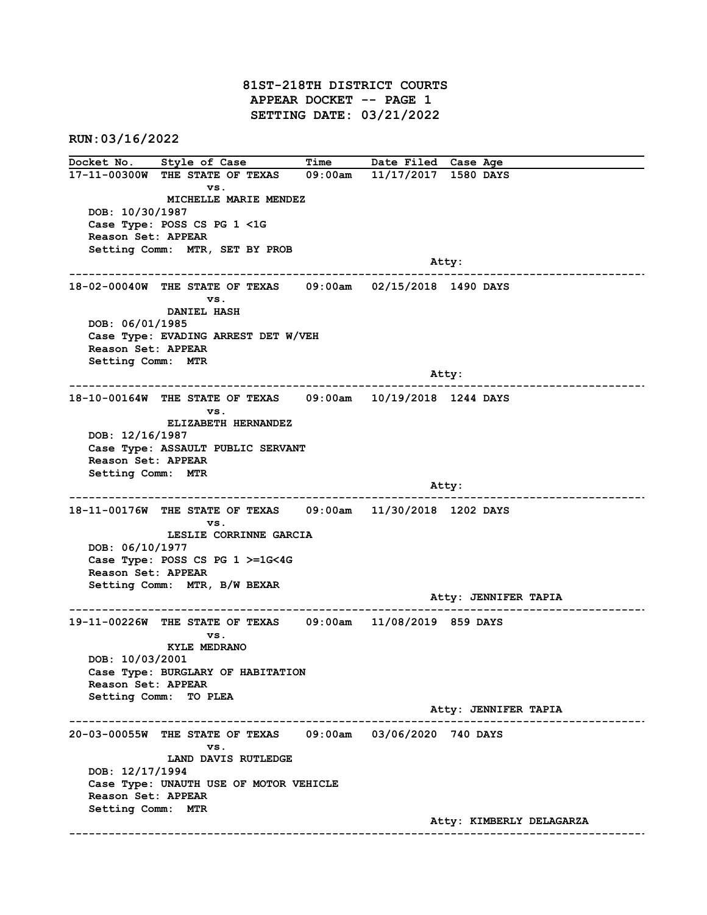## 81ST-218TH DISTRICT COURTS APPEAR DOCKET -- PAGE 1 SETTING DATE: 03/21/2022

RUN:03/16/2022

Docket No. Style of Case Time Date Filed Case Age 17-11-00300W THE STATE OF TEXAS 09:00am 11/17/2017 1580 DAYS vs. MICHELLE MARIE MENDEZ DOB: 10/30/1987 Case Type: POSS CS PG 1 <1G Reason Set: APPEAR Setting Comm: MTR, SET BY PROB : Atty<br>---------------------------------------------------------------------------------------------------------------------------------------------------- 18-02-00040W THE STATE OF TEXAS 09:00am 02/15/2018 1490 DAYS vs. DANIEL HASH DOB: 06/01/1985 Case Type: EVADING ARREST DET W/VEH Reason Set: APPEAR Setting Comm: MTR Atty: ------------------------------------------------------------------------------------------------------------------------ 18-10-00164W THE STATE OF TEXAS 09:00am 10/19/2018 1244 DAYS vs. ELIZABETH HERNANDEZ DOB: 12/16/1987 Case Type: ASSAULT PUBLIC SERVANT Reason Set: APPEAR Setting Comm: MTR Atty: ------------------------------------------------------------------------------------------------------------------------ 18-11-00176W THE STATE OF TEXAS 09:00am 11/30/2018 1202 DAYS vs. LESLIE CORRINNE GARCIA DOB: 06/10/1977 Case Type: POSS CS PG 1 >=1G<4G Reason Set: APPEAR Setting Comm: MTR, B/W BEXAR Atty: JENNIFER TAPIA ------------------------------------------------------------------------------------------------------------------------ 19-11-00226W THE STATE OF TEXAS vs. KYLE MEDRANO DOB: 10/03/2001 Case Type: BURGLARY OF HABITATION Reason Set: APPEAR Setting Comm: TO PLEA Atty: JENNIFER TAPIA ------------------------------------------------------------------------------------------------------------------------ 20-03-00055W THE STATE OF TEXAS 09:00am 03/06/2020 740 DAYS vs. LAND DAVIS RUTLEDGE DOB: 12/17/1994 Case Type: UNAUTH USE OF MOTOR VEHICLE Reason Set: APPEAR Setting Comm: MTR Atty: KIMBERLY DELAGARZA ------------------------------------------------------------------------------------------------------------------------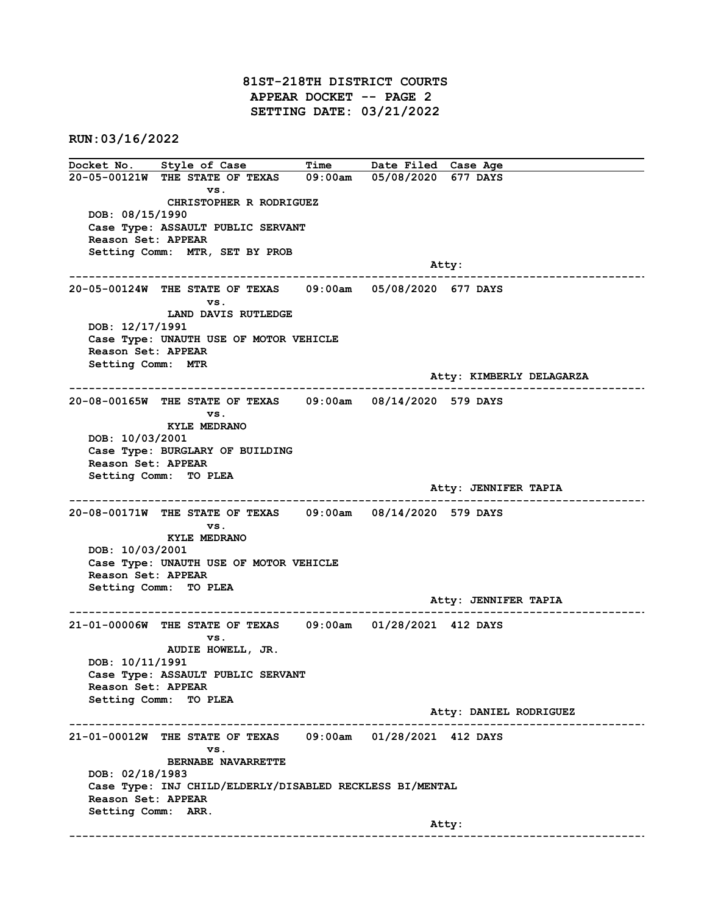## 81ST-218TH DISTRICT COURTS APPEAR DOCKET -- PAGE 2 SETTING DATE: 03/21/2022

RUN:03/16/2022

Docket No. Style of Case Time Date Filed Case Age 20-05-00121W THE STATE OF TEXAS 09:00am 05/08/2020 677 DAYS vs. CHRISTOPHER R RODRIGUEZ DOB: 08/15/1990 Case Type: ASSAULT PUBLIC SERVANT Reason Set: APPEAR Setting Comm: MTR, SET BY PROB Atty: ------------------------------------------------------------------------------------------------------------------------ 20-05-00124W THE STATE OF TEXAS 09:00am 05/08/2020 677 DAYS vs. LAND DAVIS RUTLEDGE DOB: 12/17/1991 Case Type: UNAUTH USE OF MOTOR VEHICLE Reason Set: APPEAR Setting Comm: MTR Atty: KIMBERLY DELAGARZA ------------------------------------------------------------------------------------------------------------------------ 20-08-00165W THE STATE OF TEXAS vs. KYLE MEDRANO DOB: 10/03/2001 Case Type: BURGLARY OF BUILDING Reason Set: APPEAR Setting Comm: TO PLEA Atty: JENNIFER TAPIA ------------------------------------------------------------------------------------------------------------------------ 20-08-00171W THE STATE OF TEXAS 09:00am 08/14/2020 579 DAYS vs. KYLE MEDRANO DOB: 10/03/2001 Case Type: UNAUTH USE OF MOTOR VEHICLE Reason Set: APPEAR Setting Comm: TO PLEA Atty: JENNIFER TAPIA ------------------------------------------------------------------------------------------------------------------------ 21-01-00006W THE STATE OF TEXAS 09:00am 01/28/2021 412 DAYS vs. AUDIE HOWELL, JR. DOB: 10/11/1991 Case Type: ASSAULT PUBLIC SERVANT Reason Set: APPEAR Setting Comm: TO PLEA Atty: DANIEL RODRIGUEZ ------------------------------------------------------------------------------------------------------------------------ 21-01-00012W THE STATE OF TEXAS 09:00am 01/28/2021 412 DAYS vs. BERNABE NAVARRETTE DOB: 02/18/1983 Case Type: INJ CHILD/ELDERLY/DISABLED RECKLESS BI/MENTAL Reason Set: APPEAR Setting Comm: ARR. Atty: ------------------------------------------------------------------------------------------------------------------------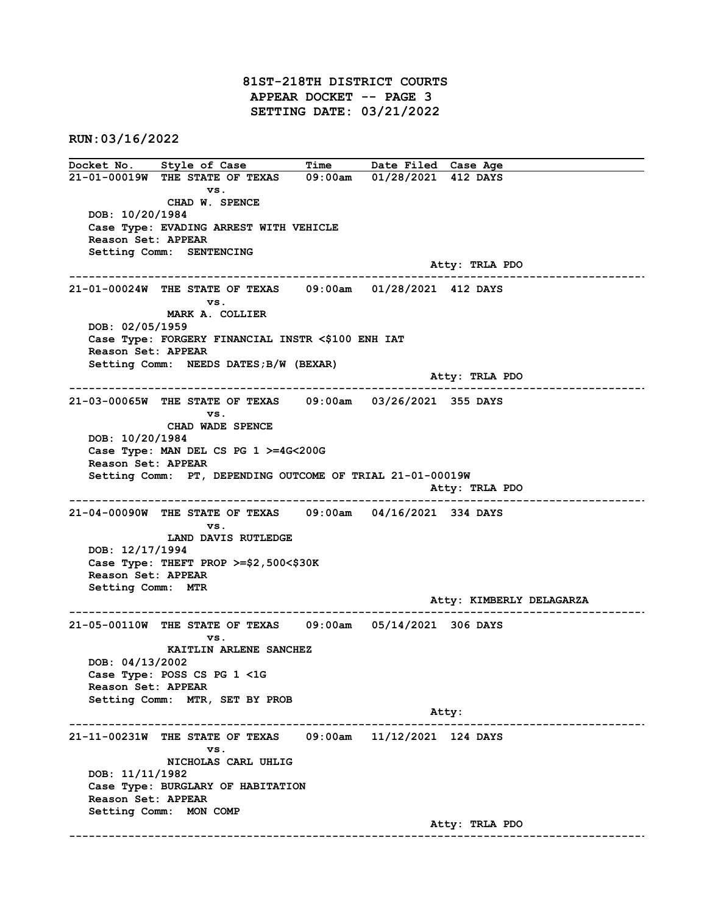81ST-218TH DISTRICT COURTS APPEAR DOCKET -- PAGE 3 SETTING DATE: 03/21/2022

RUN:03/16/2022

Docket No. Style of Case Time Date Filed Case Age 21-01-00019W THE STATE OF TEXAS 09:00am 01/28/2021 412 DAYS vs. CHAD W. SPENCE DOB: 10/20/1984 Case Type: EVADING ARREST WITH VEHICLE Reason Set: APPEAR Setting Comm: SENTENCING Atty: TRLA PDO ------------------------------------------------------------------------------------------------------------------------ 21-01-00024W THE STATE OF TEXAS 09:00am 01/28/2021 412 DAYS vs. MARK A. COLLIER DOB: 02/05/1959 Case Type: FORGERY FINANCIAL INSTR <\$100 ENH IAT Reason Set: APPEAR Setting Comm: NEEDS DATES;B/W (BEXAR) Atty: TRLA PDO ------------------------------------------------------------------------------------------------------------------------  $21-03-00065$ W THE STATE OF TEXAS vs. CHAD WADE SPENCE DOB: 10/20/1984 Case Type: MAN DEL CS PG 1 >=4G<200G Reason Set: APPEAR Setting Comm: PT, DEPENDING OUTCOME OF TRIAL 21-01-00019W Atty: TRLA PDO ------------------------------------------------------------------------------------------------------------------------ 21-04-00090W THE STATE OF TEXAS 09:00am 04/16/2021 334 DAYS vs. LAND DAVIS RUTLEDGE DOB: 12/17/1994 Case Type: THEFT PROP >=\$2,500<\$30K Reason Set: APPEAR Setting Comm: MTR Atty: KIMBERLY DELAGARZA ------------------------------------------------------------------------------------------------------------------------ 21-05-00110W THE STATE OF TEXAS 09:00am 05/14/2021 306 DAYS vs. KAITLIN ARLENE SANCHEZ DOB: 04/13/2002 Case Type: POSS CS PG 1 <1G Reason Set: APPEAR Setting Comm: MTR, SET BY PROB Atty: ------------------------------------------------------------------------------------------------------------------------ 21-11-00231W THE STATE OF TEXAS 09:00am 11/12/2021 124 DAYS vs. NICHOLAS CARL UHLIG DOB: 11/11/1982 Case Type: BURGLARY OF HABITATION Reason Set: APPEAR Setting Comm: MON COMP Atty: TRLA PDO ------------------------------------------------------------------------------------------------------------------------